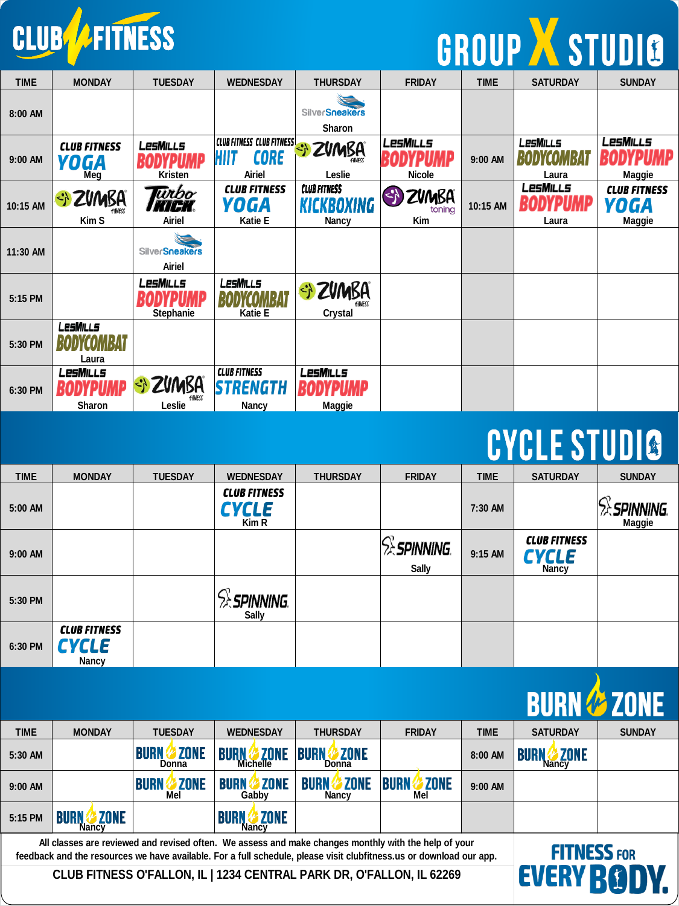

# GROUP X STUDIO

| <b>TIME</b> | <b>MONDAY</b>                             | <b>TUESDAY</b>                         | <b>WEDNESDAY</b>                                                  | <b>THURSDAY</b>                                   | <b>FRIDAY</b>                                      | <b>TIME</b> | <b>SATURDAY</b>          | <b>SUNDAY</b>                         |
|-------------|-------------------------------------------|----------------------------------------|-------------------------------------------------------------------|---------------------------------------------------|----------------------------------------------------|-------------|--------------------------|---------------------------------------|
| 8:00 AM     |                                           |                                        |                                                                   | <b>SilverSneakers</b><br>Sharon                   |                                                    |             |                          |                                       |
| 9:00 AM     | <b>CLUB FITNESS</b><br><b>YOGA</b><br>Meg | <b>LesMills</b><br>Kristen             | <b>CLUB FITNESS CLUB FITNESS</b><br><b>CORE</b><br>HIIT<br>Airiel | <b>Bi ZVMBA</b><br>Leslie                         | LesMills<br><b>Nicole</b>                          | 9:00 AM     | <b>LesMills</b><br>Laura | LesMills<br>ИР<br>Maggie              |
| 10:15 AM    | * ZVMBA<br>Kim S                          | <b>urbo</b><br>KI HK.<br>Airiel        | <b>CLUB FITNESS</b><br>YOGA<br>Katie E                            | <b>CLUB FITNESS</b><br>KICKBOXING<br><b>Nancy</b> | $\left\{ \cdot \right\}$<br>ZVMBA<br>toning<br>Kim | 10:15 AM    | LesMills<br>Laura        | <b>CLUB FITNESS</b><br>YOGA<br>Maggie |
| 11:30 AM    |                                           | <b>SilverSneakers</b><br><b>Airiel</b> |                                                                   |                                                   |                                                    |             |                          |                                       |
| 5:15 PM     |                                           | LesMills<br>Stephanie                  | LesMills<br>Katie E                                               | Si ZUMBA<br>Crystal                               |                                                    |             |                          |                                       |
| 5:30 PM     | LesMills<br>Laura                         |                                        |                                                                   |                                                   |                                                    |             |                          |                                       |
| 6:30 PM     | LesMills<br>Sharon                        | Si ZUMBA<br><b>FITNESS</b><br>Leslie   | <b>CLUB FITNESS</b><br><b>STRENGTH</b><br>Nancy                   | LesMills<br>Maggie                                |                                                    |             |                          |                                       |

#### **CYCLE STUDIO**

| <b>TIME</b> | <b>MONDAY</b>                                | <b>TUESDAY</b> | <b>WEDNESDAY</b>                             | <b>THURSDAY</b> | <b>FRIDAY</b>                    | <b>TIME</b> | <b>SATURDAY</b>                              | <b>SUNDAY</b>       |
|-------------|----------------------------------------------|----------------|----------------------------------------------|-----------------|----------------------------------|-------------|----------------------------------------------|---------------------|
| 5:00 AM     |                                              |                | <b>CLUB FITNESS</b><br><b>CYCLE</b><br>Kim R |                 |                                  | 7:30 AM     |                                              | SPINNING.<br>Maggie |
| 9:00 AM     |                                              |                |                                              |                 | <b>SEPINNING</b><br><b>Sally</b> | 9:15 AM     | <b>CLUB FITNESS</b><br><b>CYCLE</b><br>Nancy |                     |
| 5:30 PM     |                                              |                | <b>SPINNING</b><br><b>Sally</b>              |                 |                                  |             |                                              |                     |
| 6:30 PM     | <b>CLUB FITNESS</b><br><b>CYCLE</b><br>Nancy |                |                                              |                 |                                  |             |                                              |                     |

|                                                                                                                                                                                                                                                   |                                     |                                     |                                     |                                        |                                   |             | <b>BURN &amp; ZONE</b>                     |               |
|---------------------------------------------------------------------------------------------------------------------------------------------------------------------------------------------------------------------------------------------------|-------------------------------------|-------------------------------------|-------------------------------------|----------------------------------------|-----------------------------------|-------------|--------------------------------------------|---------------|
| <b>TIME</b>                                                                                                                                                                                                                                       | <b>MONDAY</b>                       | <b>TUESDAY</b>                      | <b>WEDNESDAY</b>                    | <b>THURSDAY</b>                        | <b>FRIDAY</b>                     | <b>TIME</b> | <b>SATURDAY</b>                            | <b>SUNDAY</b> |
| 5:30 AM                                                                                                                                                                                                                                           |                                     | <b>ZONE</b><br><b>BURN</b><br>Donna | <b>ZONE</b><br>Michelle             | <b>EXPLONE</b><br><b>BURN</b><br>Donna |                                   | 8:00 AM     | <b>ZONE</b><br><b>BURN</b><br><b>Nancy</b> |               |
| $9:00$ AM                                                                                                                                                                                                                                         |                                     | <b>ZONE</b><br><b>BURN</b><br>Mel   | <b>ZONE</b><br>BURN<br>Gabby        | <b>ZONE</b><br><b>BURN</b><br>Nancy    | <b>ZONE</b><br><b>BURN</b><br>Mel | $9:00$ AM   |                                            |               |
| 5:15 PM                                                                                                                                                                                                                                           | <b>ZONE</b><br><b>BURN</b><br>Nancv |                                     | <b>ZONE</b><br><b>BURN</b><br>Nancv |                                        |                                   |             |                                            |               |
| All classes are reviewed and revised often. We assess and make changes monthly with the help of your<br><b>FITNESS FOR</b><br>feedback and the resources we have available. For a full schedule, please visit clubfitness.us or download our app. |                                     |                                     |                                     |                                        |                                   |             |                                            |               |
| CLUB FITNESS O'FALLON, IL   1234 CENTRAL PARK DR, O'FALLON, IL 62269                                                                                                                                                                              |                                     |                                     |                                     |                                        | <b>EVERY RO</b>                   |             |                                            |               |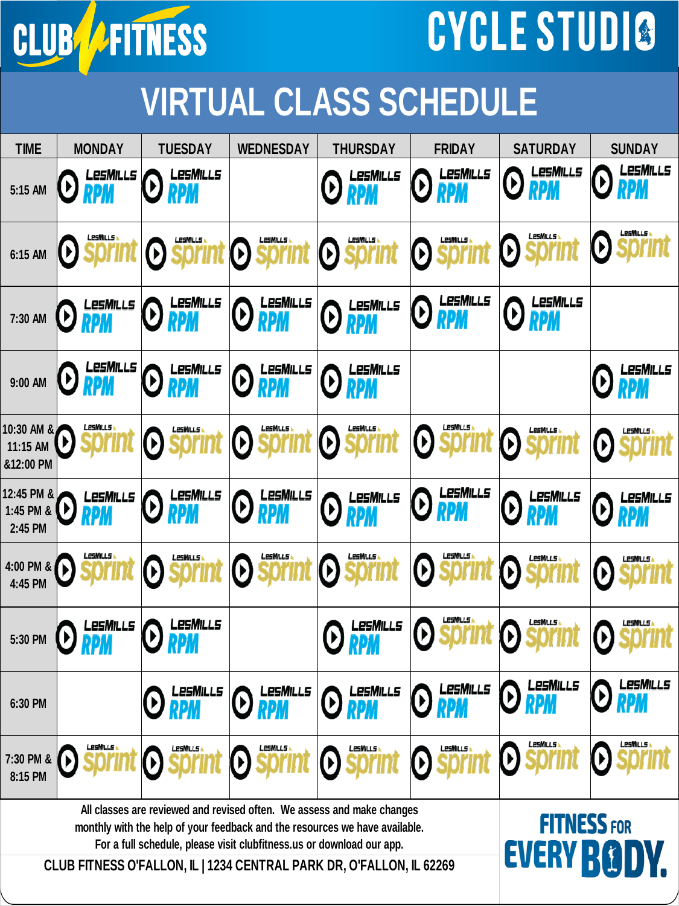

## CYCLE STUDIO

### **VIRTUAL CLASS SCHEDULE**

| <b>TIME</b>                                                                                                                                           | <b>MONDAY</b>               | <b>TUESDAY</b>                                     | <b>WEDNESDAY</b>                                | <b>THURSDAY</b>                                    | <b>FRIDAY</b>                     | <b>SATURDAY</b>                   | <b>SUNDAY</b>                                      |
|-------------------------------------------------------------------------------------------------------------------------------------------------------|-----------------------------|----------------------------------------------------|-------------------------------------------------|----------------------------------------------------|-----------------------------------|-----------------------------------|----------------------------------------------------|
| 5:15 AM                                                                                                                                               | LesMills<br>V<br><b>RPM</b> | LesMills<br>V<br>RPM                               |                                                 | LesMills<br>V<br><b>RPM</b>                        | <b>LesMills</b><br>V<br>RPM       | LesMills<br>D<br><b>RPM</b>       | LesMills<br>V<br><b>RPM</b>                        |
| 6:15 AM                                                                                                                                               | $\boldsymbol{\Theta}$       | $\Theta$                                           | LesMills<br>$\boldsymbol{\Theta}$               | LesMills<br>$\Theta$                               | LesMills<br>Ø                     | $\Theta$                          | <u>LesMills</u><br>V                               |
| 7:30 AM                                                                                                                                               | LesMills<br><b>D</b> RPM    | LesMills<br><b>EXPIRE</b>                          | <b>O</b> RPM                                    | <b>D RPM</b>                                       | LesMills<br><b>D</b> RPM          | LesMills<br>$\bm{\Theta}$         |                                                    |
| 9:00 AM                                                                                                                                               | <b>ORPMILLS</b>             | <b>D</b> LESMILLS                                  | LesMills<br>$\boldsymbol{\Theta}$<br><b>RPM</b> | LesMills<br>$\left(\boldsymbol{\mathsf{b}}\right)$ |                                   |                                   | LesMills                                           |
| 10:30 AM &<br>11:15 AM<br>&12:00 PM                                                                                                                   | LesMills                    | LesMills<br>$\left(\boldsymbol{\mathsf{b}}\right)$ | LesMills<br>$\boldsymbol{\Theta}$               | LesMills<br>$\boldsymbol{\Theta}$                  | LesMills<br>$\boldsymbol{\Theta}$ | LesMills<br>$\Theta$              | LesMills<br>$\left(\boldsymbol{\mathsf{b}}\right)$ |
| 12:45 PM &<br>1:45 PM &<br>2:45 PM                                                                                                                    | LesMills                    | LesMills                                           | LesMills<br><b>O</b> RPM                        | LesMills<br>$\left(\boldsymbol{\mathsf{b}}\right)$ | <b>LesMILLs</b><br><b>O RPM</b>   | LesMills<br>Ø)                    | LesMills<br>D                                      |
| 4:00 PM &<br>4:45 PM                                                                                                                                  | LesMills<br>D               | LesMills<br>(V)                                    | LesMills<br>$\boldsymbol{\Theta}$               | LesMills<br>$\boldsymbol{\Theta}$                  | LesMills<br>Ø                     | LesMills<br>$\Theta$              | LesMills<br>$\left(\boldsymbol{\mathsf{b}}\right)$ |
| 5:30 PM                                                                                                                                               | LesMills                    | LesMills                                           |                                                 | LesMills                                           | LesMills<br>$\boldsymbol{\Theta}$ | LesMills<br>$\boldsymbol{\Theta}$ | LesMills<br>(V)                                    |
| 6:30 PM                                                                                                                                               |                             | $\bm{\Theta}$ RPM                                  |                                                 | ORPM ORPM ORPM ORPM ORPM ORPM ORPM                 |                                   |                                   | <b>A</b> LESMILLS<br><b>ツ RPM</b>                  |
| 7:30 PM &<br>8:15 PM                                                                                                                                  | LesMills                    | <b>LesMills</b>                                    | <b>LesMILLS</b><br>$\left( \mathbf{r}\right)$   | LesMills<br>$\left(\boldsymbol{\mathsf{b}}\right)$ | <b>LesMills</b>                   | LesMills<br>Ø                     | <b>LesMills</b><br>D                               |
| All classes are reviewed and revised often. We assess and make changes<br>monthly with the help of your feedback and the resources we have available. |                             |                                                    |                                                 |                                                    |                                   | <b>FITNESS FOR</b>                |                                                    |
| For a full schedule, please visit clubfitness.us or download our app.                                                                                 |                             |                                                    |                                                 |                                                    |                                   | <b>EVERY BODY.</b>                |                                                    |
| CLUB FITNESS O'FALLON, IL   1234 CENTRAL PARK DR, O'FALLON, IL 62269                                                                                  |                             |                                                    |                                                 |                                                    |                                   |                                   |                                                    |